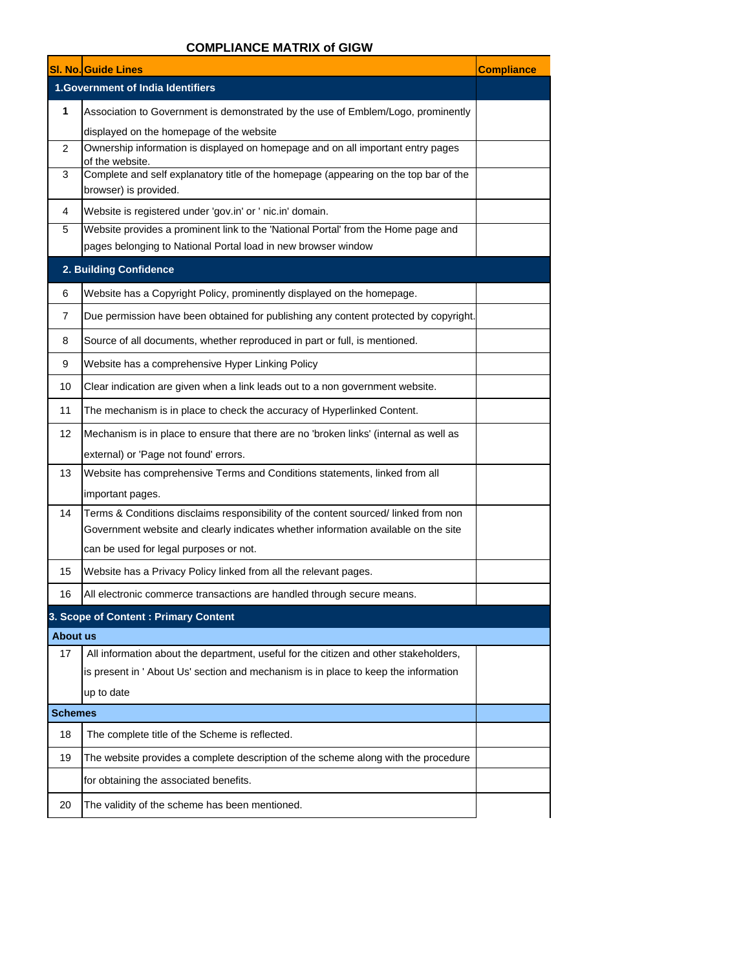## **COMPLIANCE MATRIX of GIGW**

|                 | <b>SI. No. Guide Lines</b>                                                                              | <b>Compliance</b> |
|-----------------|---------------------------------------------------------------------------------------------------------|-------------------|
|                 | <b>1.Government of India Identifiers</b>                                                                |                   |
| 1               | Association to Government is demonstrated by the use of Emblem/Logo, prominently                        |                   |
|                 | displayed on the homepage of the website                                                                |                   |
| 2               | Ownership information is displayed on homepage and on all important entry pages                         |                   |
| 3               | of the website.<br>Complete and self explanatory title of the homepage (appearing on the top bar of the |                   |
|                 | browser) is provided.                                                                                   |                   |
| 4               | Website is registered under 'gov.in' or ' nic.in' domain.                                               |                   |
| 5               | Website provides a prominent link to the 'National Portal' from the Home page and                       |                   |
|                 | pages belonging to National Portal load in new browser window                                           |                   |
|                 | 2. Building Confidence                                                                                  |                   |
| 6               | Website has a Copyright Policy, prominently displayed on the homepage.                                  |                   |
| $\overline{7}$  | Due permission have been obtained for publishing any content protected by copyright.                    |                   |
| 8               | Source of all documents, whether reproduced in part or full, is mentioned.                              |                   |
| 9               | Website has a comprehensive Hyper Linking Policy                                                        |                   |
| 10              | Clear indication are given when a link leads out to a non government website.                           |                   |
| 11              | The mechanism is in place to check the accuracy of Hyperlinked Content.                                 |                   |
| 12              | Mechanism is in place to ensure that there are no 'broken links' (internal as well as                   |                   |
|                 | external) or 'Page not found' errors.                                                                   |                   |
| 13              | Website has comprehensive Terms and Conditions statements, linked from all                              |                   |
|                 | important pages.                                                                                        |                   |
| 14              | Terms & Conditions disclaims responsibility of the content sourced/linked from non                      |                   |
|                 | Government website and clearly indicates whether information available on the site                      |                   |
|                 | can be used for legal purposes or not.                                                                  |                   |
| 15              | Website has a Privacy Policy linked from all the relevant pages.                                        |                   |
| 16              | All electronic commerce transactions are handled through secure means.                                  |                   |
|                 | 3. Scope of Content : Primary Content                                                                   |                   |
| <b>About us</b> |                                                                                                         |                   |
| 17              | All information about the department, useful for the citizen and other stakeholders,                    |                   |
|                 | is present in ' About Us' section and mechanism is in place to keep the information                     |                   |
|                 | up to date                                                                                              |                   |
| <b>Schemes</b>  |                                                                                                         |                   |
| 18              | The complete title of the Scheme is reflected.                                                          |                   |
| 19              | The website provides a complete description of the scheme along with the procedure                      |                   |
|                 | for obtaining the associated benefits.                                                                  |                   |
| 20              | The validity of the scheme has been mentioned.                                                          |                   |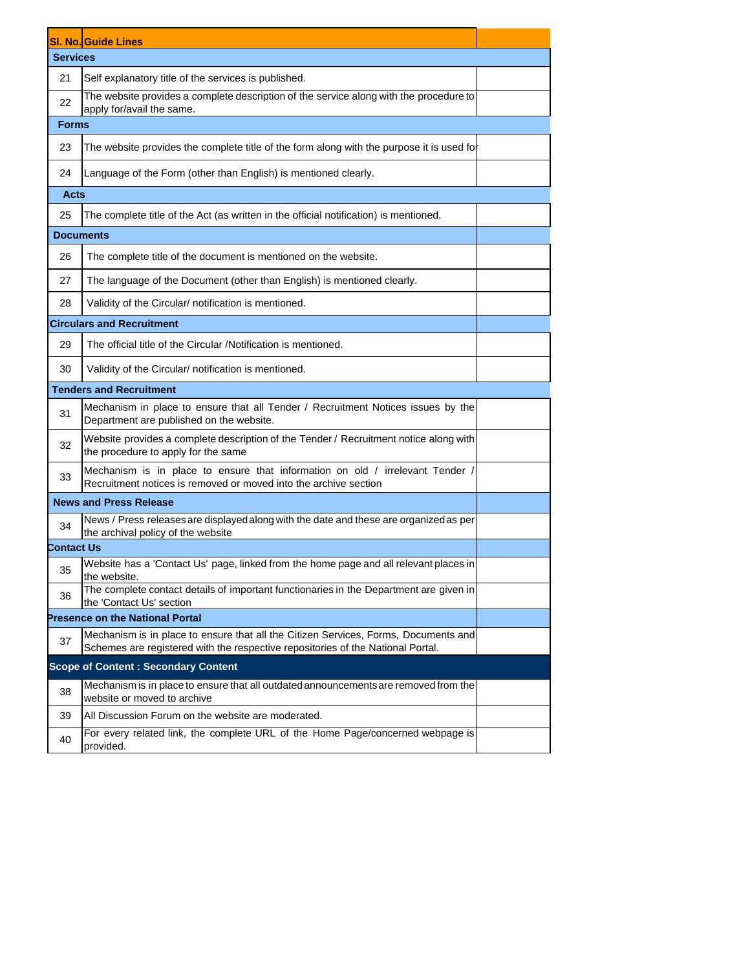|                   | <b>SI. No. Guide Lines</b>                                                                                                                                             |  |
|-------------------|------------------------------------------------------------------------------------------------------------------------------------------------------------------------|--|
| <b>Services</b>   |                                                                                                                                                                        |  |
| 21                | Self explanatory title of the services is published.                                                                                                                   |  |
| 22                | The website provides a complete description of the service along with the procedure to<br>apply for/avail the same.                                                    |  |
| <b>Forms</b>      |                                                                                                                                                                        |  |
| 23                | The website provides the complete title of the form along with the purpose it is used for                                                                              |  |
| 24                | Language of the Form (other than English) is mentioned clearly.                                                                                                        |  |
| Acts              |                                                                                                                                                                        |  |
| 25                | The complete title of the Act (as written in the official notification) is mentioned.                                                                                  |  |
|                   | <b>Documents</b>                                                                                                                                                       |  |
| 26                | The complete title of the document is mentioned on the website.                                                                                                        |  |
| 27                | The language of the Document (other than English) is mentioned clearly.                                                                                                |  |
| 28                | Validity of the Circular/ notification is mentioned.                                                                                                                   |  |
|                   | <b>Circulars and Recruitment</b>                                                                                                                                       |  |
| 29                | The official title of the Circular /Notification is mentioned.                                                                                                         |  |
| 30                | Validity of the Circular/ notification is mentioned.                                                                                                                   |  |
|                   | <b>Tenders and Recruitment</b>                                                                                                                                         |  |
| 31                | Mechanism in place to ensure that all Tender / Recruitment Notices issues by the<br>Department are published on the website.                                           |  |
| 32                | Website provides a complete description of the Tender / Recruitment notice along with<br>the procedure to apply for the same                                           |  |
| 33                | Mechanism is in place to ensure that information on old / irrelevant Tender /<br>Recruitment notices is removed or moved into the archive section                      |  |
|                   | <b>News and Press Release</b>                                                                                                                                          |  |
| 34                | News / Press releases are displayed along with the date and these are organized as per<br>the archival policy of the website                                           |  |
| <b>Contact Us</b> |                                                                                                                                                                        |  |
| 35                | Website has a 'Contact Us' page, linked from the home page and all relevant places in<br>the website.                                                                  |  |
| 36                | The complete contact details of important functionaries in the Department are given in<br>the 'Contact Us' section                                                     |  |
|                   | <b>Presence on the National Portal</b>                                                                                                                                 |  |
| 37                | Mechanism is in place to ensure that all the Citizen Services, Forms, Documents and<br>Schemes are registered with the respective repositories of the National Portal. |  |
|                   | <b>Scope of Content: Secondary Content</b>                                                                                                                             |  |
| 38                | Mechanism is in place to ensure that all outdated announcements are removed from the<br>website or moved to archive                                                    |  |
| 39                | All Discussion Forum on the website are moderated.                                                                                                                     |  |
| 40                | For every related link, the complete URL of the Home Page/concerned webpage is<br>provided.                                                                            |  |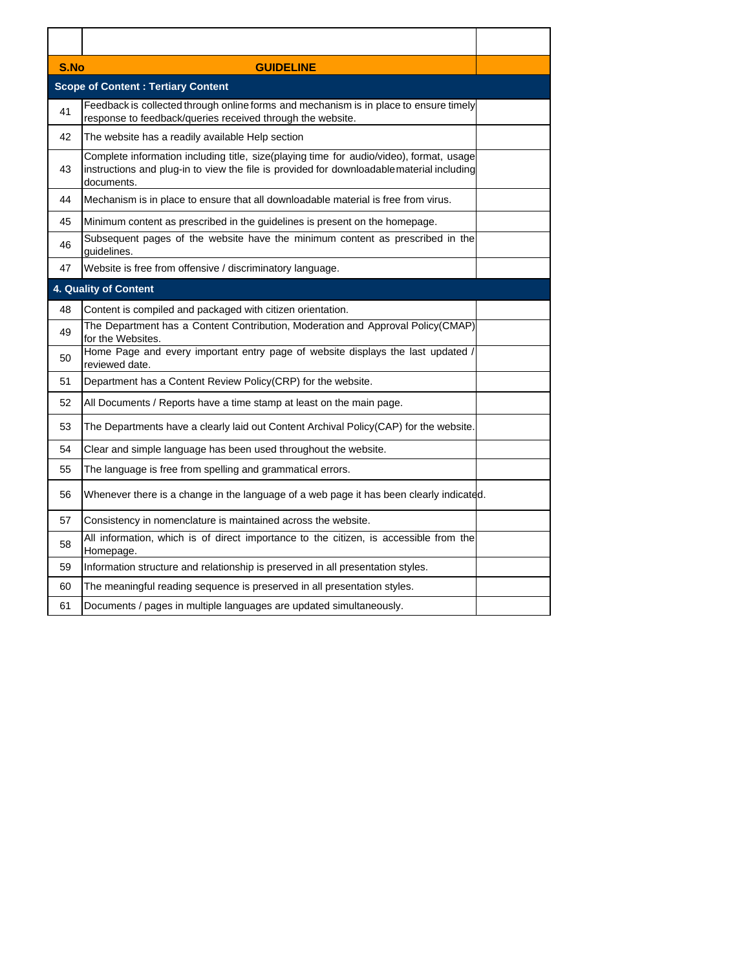| S.No | <b>GUIDELINE</b>                                                                                                                                                                                  |  |
|------|---------------------------------------------------------------------------------------------------------------------------------------------------------------------------------------------------|--|
|      | <b>Scope of Content: Tertiary Content</b>                                                                                                                                                         |  |
| 41   | Feedback is collected through online forms and mechanism is in place to ensure timely<br>response to feedback/queries received through the website.                                               |  |
| 42   | The website has a readily available Help section                                                                                                                                                  |  |
| 43   | Complete information including title, size(playing time for audio/video), format, usage<br>instructions and plug-in to view the file is provided for downloadablematerial including<br>documents. |  |
| 44   | Mechanism is in place to ensure that all downloadable material is free from virus.                                                                                                                |  |
| 45   | Minimum content as prescribed in the guidelines is present on the homepage.                                                                                                                       |  |
| 46   | Subsequent pages of the website have the minimum content as prescribed in the<br>quidelines.                                                                                                      |  |
| 47   | Website is free from offensive / discriminatory language.                                                                                                                                         |  |
|      | 4. Quality of Content                                                                                                                                                                             |  |
| 48   | Content is compiled and packaged with citizen orientation.                                                                                                                                        |  |
| 49   | The Department has a Content Contribution, Moderation and Approval Policy(CMAP)<br>for the Websites.                                                                                              |  |
| 50   | Home Page and every important entry page of website displays the last updated<br>reviewed date.                                                                                                   |  |
| 51   | Department has a Content Review Policy(CRP) for the website.                                                                                                                                      |  |
| 52   | All Documents / Reports have a time stamp at least on the main page.                                                                                                                              |  |
| 53   | The Departments have a clearly laid out Content Archival Policy(CAP) for the website.                                                                                                             |  |
| 54   | Clear and simple language has been used throughout the website.                                                                                                                                   |  |
| 55   | The language is free from spelling and grammatical errors.                                                                                                                                        |  |
| 56   | Whenever there is a change in the language of a web page it has been clearly indicated.                                                                                                           |  |
| 57   | Consistency in nomenclature is maintained across the website.                                                                                                                                     |  |
| 58   | All information, which is of direct importance to the citizen, is accessible from the<br>Homepage.                                                                                                |  |
| 59   | Information structure and relationship is preserved in all presentation styles.                                                                                                                   |  |
| 60   | The meaningful reading sequence is preserved in all presentation styles.                                                                                                                          |  |
| 61   | Documents / pages in multiple languages are updated simultaneously.                                                                                                                               |  |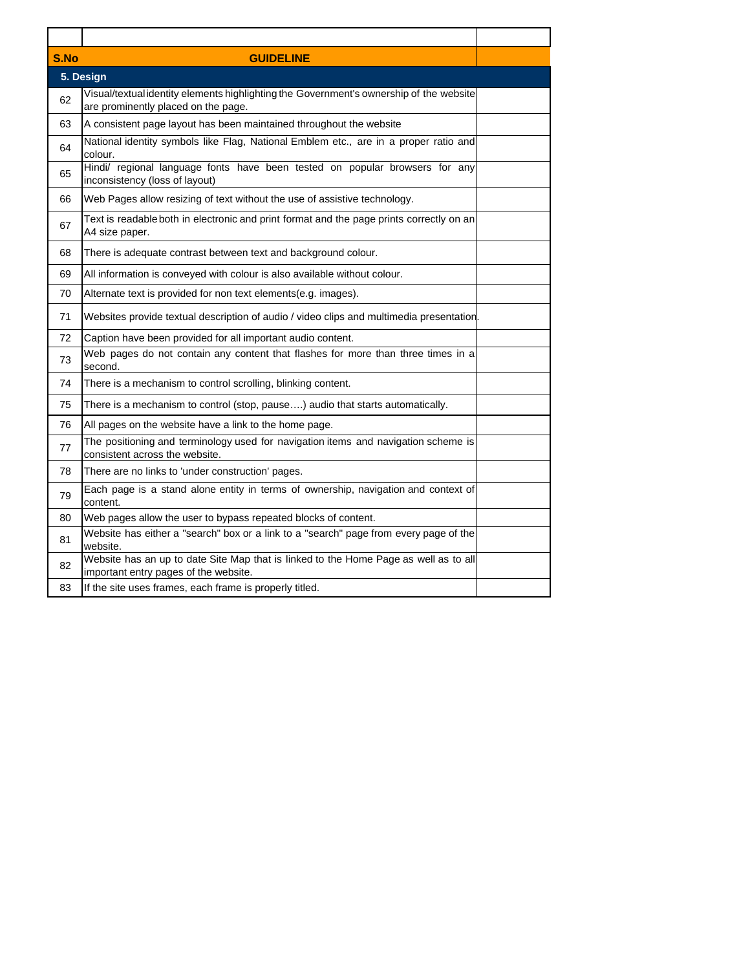| S.No | <b>GUIDELINE</b>                                                                                                               |  |
|------|--------------------------------------------------------------------------------------------------------------------------------|--|
|      | 5. Design                                                                                                                      |  |
| 62   | Visual/textual identity elements highlighting the Government's ownership of the website<br>are prominently placed on the page. |  |
| 63   | A consistent page layout has been maintained throughout the website                                                            |  |
| 64   | National identity symbols like Flag, National Emblem etc., are in a proper ratio and<br>colour.                                |  |
| 65   | Hindi/ regional language fonts have been tested on popular browsers for any<br>inconsistency (loss of layout)                  |  |
| 66   | Web Pages allow resizing of text without the use of assistive technology.                                                      |  |
| 67   | Text is readable both in electronic and print format and the page prints correctly on an<br>A4 size paper.                     |  |
| 68   | There is adequate contrast between text and background colour.                                                                 |  |
| 69   | All information is conveyed with colour is also available without colour.                                                      |  |
| 70   | Alternate text is provided for non text elements(e.g. images).                                                                 |  |
| 71   | Websites provide textual description of audio / video clips and multimedia presentation                                        |  |
| 72   | Caption have been provided for all important audio content.                                                                    |  |
| 73   | Web pages do not contain any content that flashes for more than three times in a<br>second.                                    |  |
| 74   | There is a mechanism to control scrolling, blinking content.                                                                   |  |
| 75   | There is a mechanism to control (stop, pause) audio that starts automatically.                                                 |  |
| 76   | All pages on the website have a link to the home page.                                                                         |  |
| 77   | The positioning and terminology used for navigation items and navigation scheme is<br>consistent across the website.           |  |
| 78   | There are no links to 'under construction' pages.                                                                              |  |
| 79   | Each page is a stand alone entity in terms of ownership, navigation and context of<br>content.                                 |  |
| 80   | Web pages allow the user to bypass repeated blocks of content.                                                                 |  |
| 81   | Website has either a "search" box or a link to a "search" page from every page of the<br>website.                              |  |
| 82   | Website has an up to date Site Map that is linked to the Home Page as well as to all<br>important entry pages of the website.  |  |
| 83   | If the site uses frames, each frame is properly titled.                                                                        |  |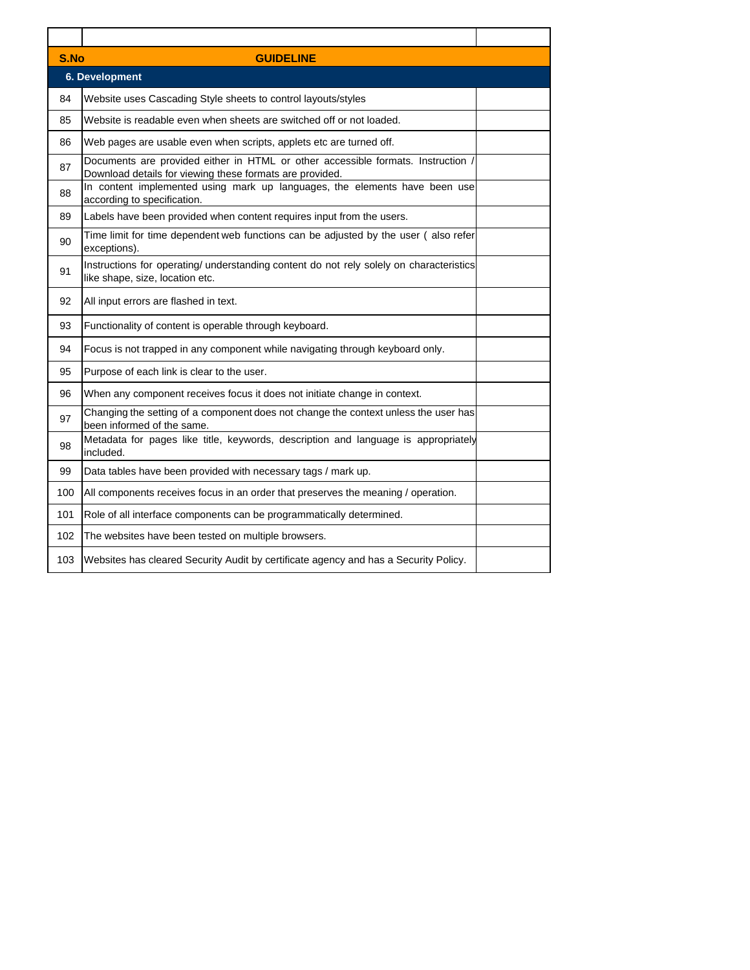| S.No<br><b>GUIDELINE</b> |                                                                                                                                              |  |  |
|--------------------------|----------------------------------------------------------------------------------------------------------------------------------------------|--|--|
|                          | 6. Development                                                                                                                               |  |  |
| 84                       | Website uses Cascading Style sheets to control layouts/styles                                                                                |  |  |
| 85                       | Website is readable even when sheets are switched off or not loaded.                                                                         |  |  |
| 86                       | Web pages are usable even when scripts, applets etc are turned off.                                                                          |  |  |
| 87                       | Documents are provided either in HTML or other accessible formats. Instruction /<br>Download details for viewing these formats are provided. |  |  |
| 88                       | In content implemented using mark up languages, the elements have been use<br>according to specification.                                    |  |  |
| 89                       | Labels have been provided when content requires input from the users.                                                                        |  |  |
| 90                       | Time limit for time dependent web functions can be adjusted by the user (also refer<br>exceptions).                                          |  |  |
| 91                       | Instructions for operating/ understanding content do not rely solely on characteristics<br>like shape, size, location etc.                   |  |  |
| 92                       | All input errors are flashed in text.                                                                                                        |  |  |
| 93                       | Functionality of content is operable through keyboard.                                                                                       |  |  |
| 94                       | Focus is not trapped in any component while navigating through keyboard only.                                                                |  |  |
| 95                       | Purpose of each link is clear to the user.                                                                                                   |  |  |
| 96                       | When any component receives focus it does not initiate change in context.                                                                    |  |  |
| 97                       | Changing the setting of a component does not change the context unless the user has<br>been informed of the same.                            |  |  |
| 98                       | Metadata for pages like title, keywords, description and language is appropriately<br>included.                                              |  |  |
| 99                       | Data tables have been provided with necessary tags / mark up.                                                                                |  |  |
| 100                      | All components receives focus in an order that preserves the meaning / operation.                                                            |  |  |
| 101                      | Role of all interface components can be programmatically determined.                                                                         |  |  |
| 102                      | The websites have been tested on multiple browsers.                                                                                          |  |  |
| 103                      | Websites has cleared Security Audit by certificate agency and has a Security Policy.                                                         |  |  |